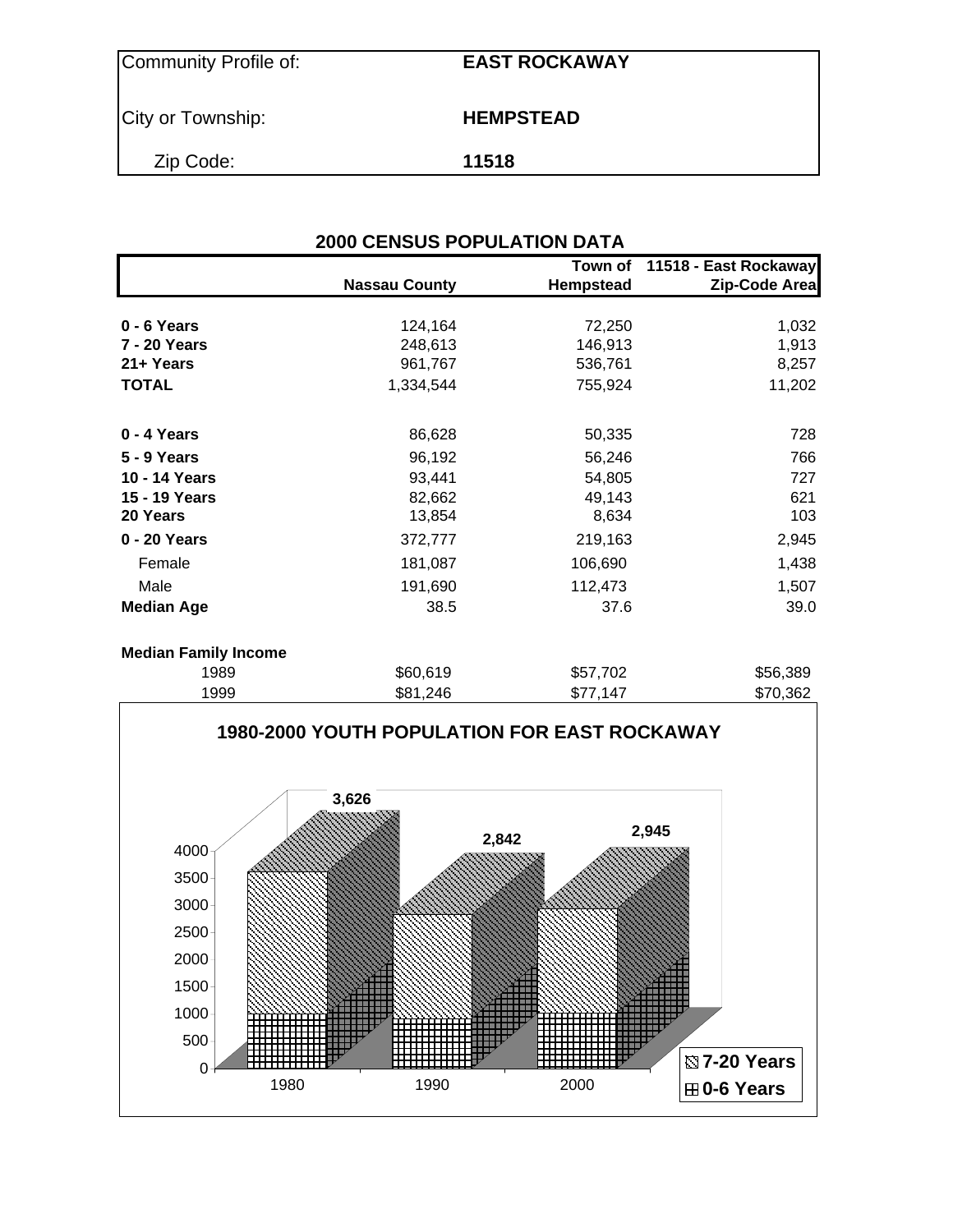| Community Profile of: | <b>EAST ROCKAWAY</b> |
|-----------------------|----------------------|
| City or Township:     | <b>HEMPSTEAD</b>     |
| Zip Code:             | 11518                |

|                             | <b>2000 CENSUS POPULATION DATA</b> |                      |                                        |  |  |  |  |  |  |
|-----------------------------|------------------------------------|----------------------|----------------------------------------|--|--|--|--|--|--|
|                             | <b>Nassau County</b>               | Town of<br>Hempstead | 11518 - East Rockaway<br>Zip-Code Area |  |  |  |  |  |  |
| $0 - 6$ Years               | 124,164                            | 72,250               | 1,032                                  |  |  |  |  |  |  |
| <b>7 - 20 Years</b>         | 248,613                            | 146,913              | 1,913                                  |  |  |  |  |  |  |
| 21+ Years                   | 961,767                            | 536,761              | 8,257                                  |  |  |  |  |  |  |
| <b>TOTAL</b>                | 1,334,544                          | 755,924              | 11,202                                 |  |  |  |  |  |  |
| 0 - 4 Years                 | 86,628                             | 50,335               | 728                                    |  |  |  |  |  |  |
| 5 - 9 Years                 | 96,192                             | 56,246               | 766                                    |  |  |  |  |  |  |
| 10 - 14 Years               | 93,441                             | 54,805               | 727                                    |  |  |  |  |  |  |
| 15 - 19 Years               | 82,662                             | 49,143               | 621                                    |  |  |  |  |  |  |
| 20 Years                    | 13,854                             | 8,634                | 103                                    |  |  |  |  |  |  |
| 0 - 20 Years                | 372,777                            | 219,163              | 2,945                                  |  |  |  |  |  |  |
| Female                      | 181,087                            | 106,690              | 1,438                                  |  |  |  |  |  |  |
| Male                        | 191,690                            | 112,473              | 1,507                                  |  |  |  |  |  |  |
| <b>Median Age</b>           | 38.5                               | 37.6                 | 39.0                                   |  |  |  |  |  |  |
| <b>Median Family Income</b> |                                    |                      |                                        |  |  |  |  |  |  |
| 1989                        | \$60,619                           | \$57,702             | \$56,389                               |  |  |  |  |  |  |

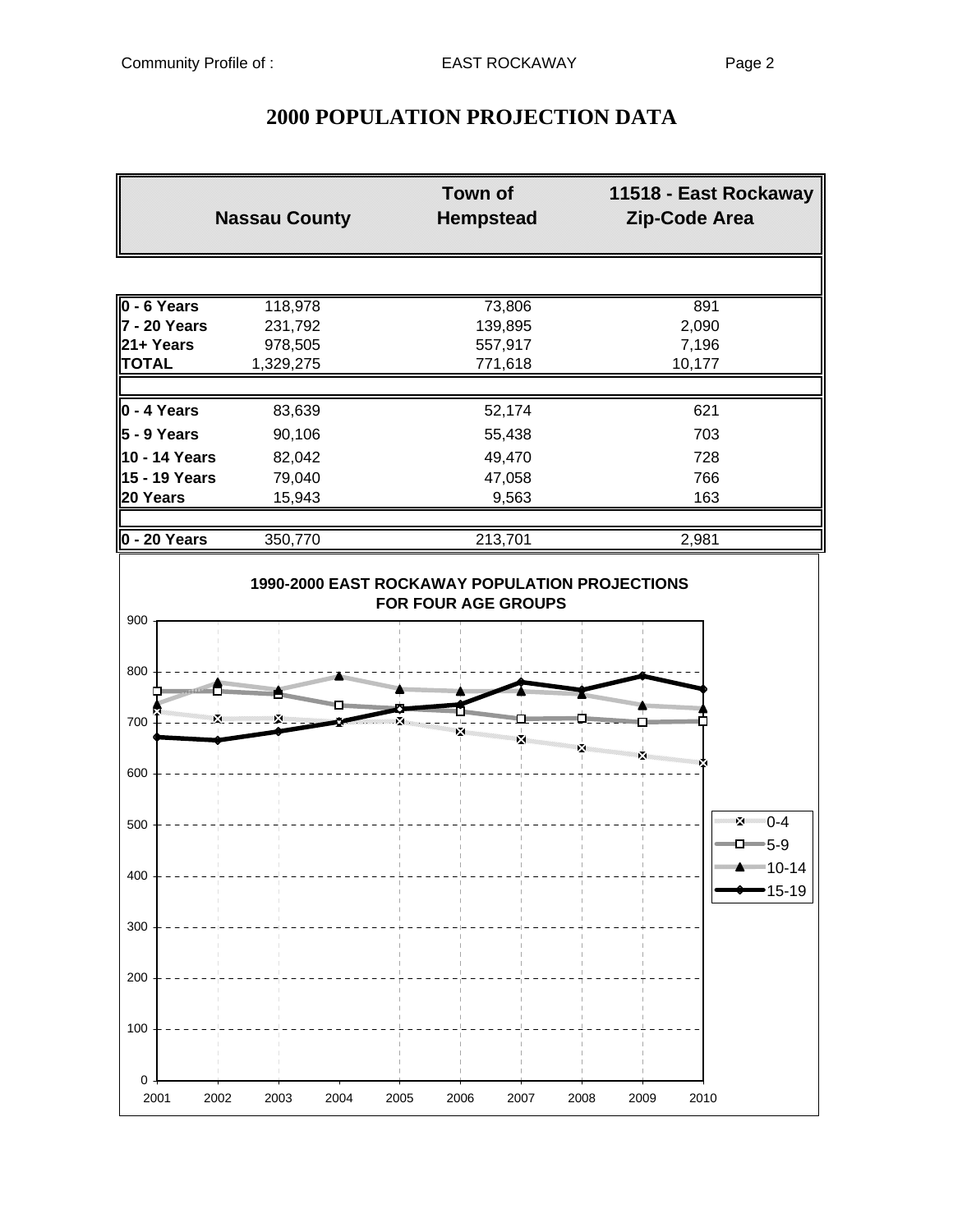# **2000 POPULATION PROJECTION DATA**

|                   | <b>Nassau County</b> | Town of<br><b>Hempstead</b> | 11518 - East Rockaway<br>Zip-Code Area |
|-------------------|----------------------|-----------------------------|----------------------------------------|
|                   |                      |                             |                                        |
| 0 - 6 Years       | 118,978              | 73,806                      | 891                                    |
| 7 - 20 Years      | 231,792              | 139,895                     | 2,090                                  |
| 21+ Years         | 978,505              | 557,917                     | 7,196                                  |
| <b>TOTAL</b>      | 1,329,275            | 771,618                     | 10,177                                 |
| $0 - 4$ Years     | 83,639               | 52,174                      | 621                                    |
| $5 - 9$ Years     | 90,106               | 55,438                      | 703                                    |
| 10 - 14 Years     | 82,042               | 49,470                      | 728                                    |
| 15 - 19 Years     | 79,040               | 47,058                      | 766                                    |
| 20 Years          | 15,943               | 9,563                       | 163                                    |
| $0 - 20$ Years    | 350,770              | 213,701                     | 2,981                                  |
| 900<br>800        |                      |                             |                                        |
|                   |                      | mmm                         | <b>Management</b>                      |
| 700               | X.                   |                             |                                        |
| 600               |                      | ×                           | ।<br>∡                                 |
|                   |                      |                             |                                        |
| 500               |                      |                             | $\mathbf{X} = 0.4$<br>$\Box$ 5-9       |
| 400               |                      |                             | <sup>■■■■■</sup> 10-14<br>15-19        |
| 300               |                      |                             |                                        |
| 200               |                      |                             |                                        |
| 100               |                      |                             |                                        |
| 0<br>2001<br>2002 | 2003<br>2004         | 2005<br>2006<br>2007        | 2008<br>2009<br>2010                   |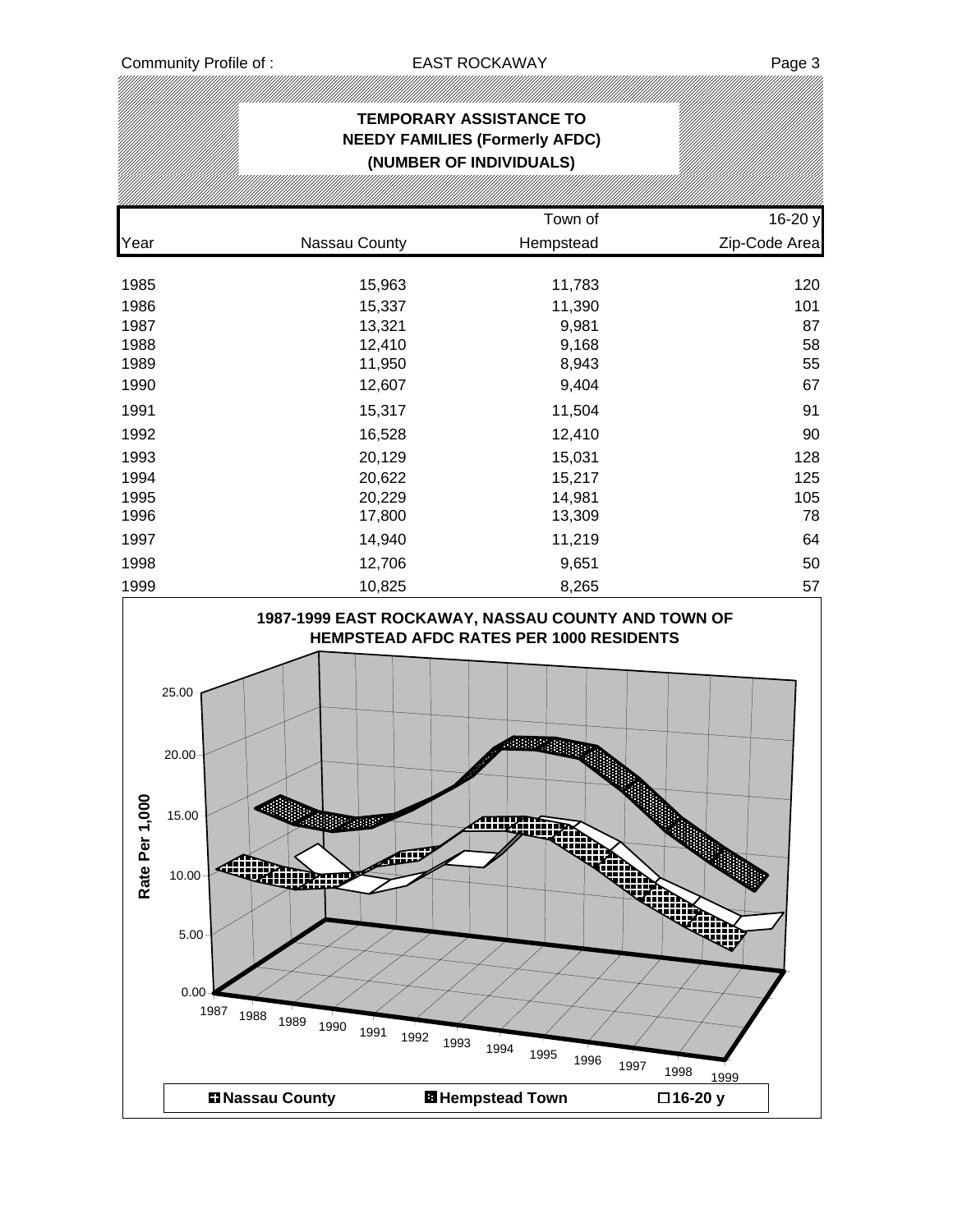## **TEMPORARY ASSISTANCE TO NEEDY FAMILIES (Formerly AFDC) (NUMBER OF INDIVIDUALS)** Town of 16-20 y Year Nassau County Hempstead Zip-Code Area 1985 15,963 11,783 120 1986 15,337 11,390 101 1987 13,321 9,981 87 1988 12,410 9,168 58 1989 11,950 8,943 55 1990 12,607 9,404 67 1991 15,317 11,504 91 1992 16,528 12,410 90 1993 20,129 15,031 128 1994 20,622 15,217 125 1995 20,229 14,981 105 1996 17,800 13,309 78 1997 14,940 11,219 64 1998 12,706 9,651 50 1999 10,825 8,265 57 **1987-1999 EAST ROCKAWAY, NASSAU COUNTY AND TOWN OF HEMPSTEAD AFDC RATES PER 1000 RESIDENTS** 25.00 20.00 Rate Per 1,000 **Rate Per 1,000**15.00 **Allignation** زائلته 10.00 أأيم ₩₩ 5.00 0.00 <sup>1987</sup> <sup>1988</sup> <sup>1989</sup> <sup>1990</sup> <sup>1991</sup> <sup>1992</sup> <sup>1993</sup> <sup>1994</sup> <sup>1995</sup> <sup>1996</sup> <sup>1997</sup> <sup>1998</sup> <sup>1999</sup> **Nassau County Hempstead Town 16-20 y**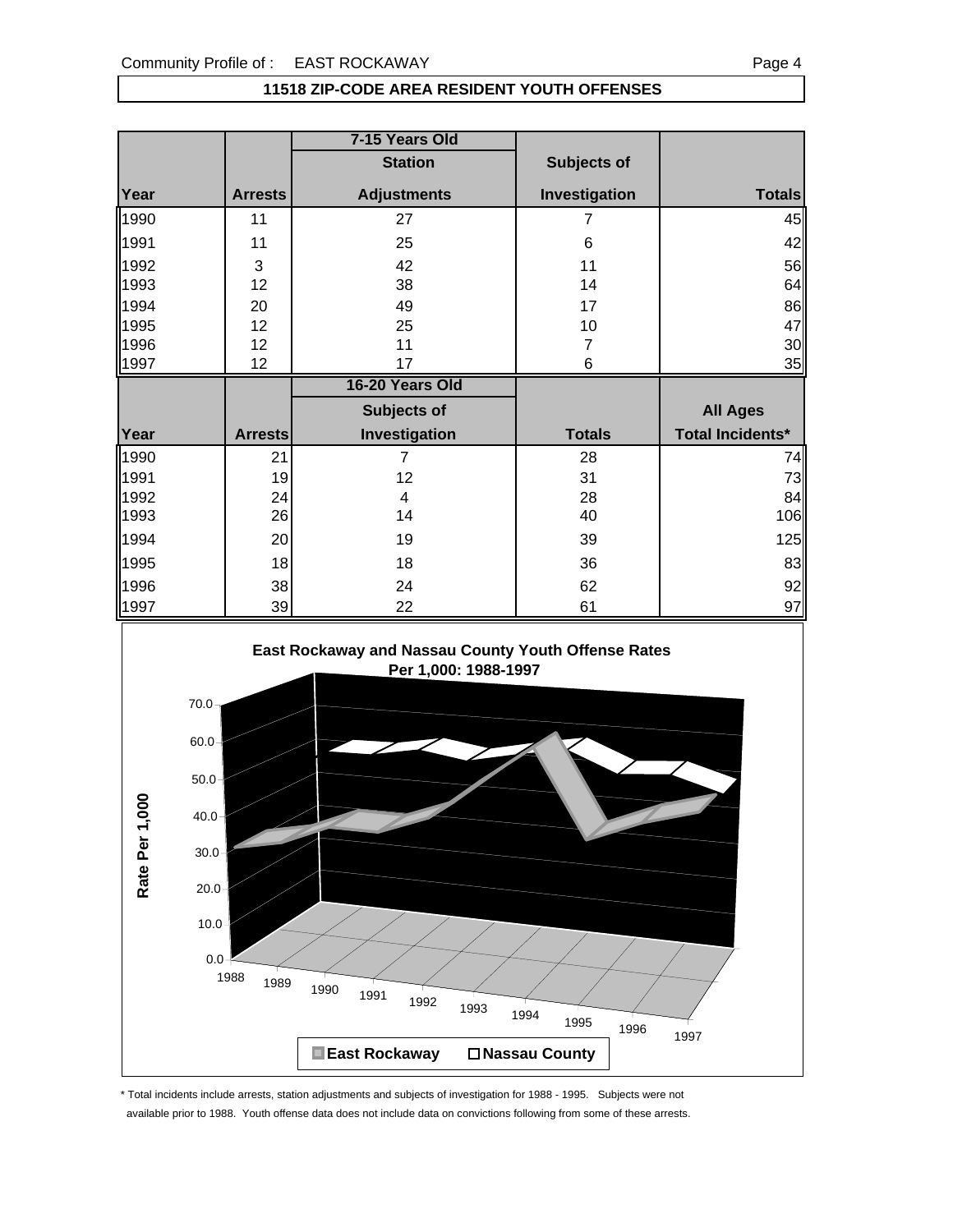#### **11518 ZIP-CODE AREA RESIDENT YOUTH OFFENSES**

|      |                | 7-15 Years Old     |               |                         |
|------|----------------|--------------------|---------------|-------------------------|
|      |                | <b>Station</b>     | Subjects of   |                         |
| Year | <b>Arrests</b> | <b>Adjustments</b> | Investigation | <b>Totals</b>           |
| 1990 | 11             | 27                 | 7             | 45                      |
| 1991 | 11             | 25                 | 6             | 42                      |
| 1992 | 3              | 42                 | 11            | 56                      |
| 1993 | 12             | 38                 | 14            | 64                      |
| 1994 | 20             | 49                 | 17            | 86                      |
| 1995 | 12             | 25                 | 10            | 47                      |
| 1996 | 12             | 11                 | 7             | 30                      |
| 1997 | 12             | 17                 | 6             | 35                      |
|      |                |                    |               |                         |
|      |                | 16-20 Years Old    |               |                         |
|      |                | Subjects of        |               | <b>All Ages</b>         |
| Year | <b>Arrests</b> | Investigation      | <b>Totals</b> | <b>Total Incidents*</b> |
| 1990 | 21             | $\overline{7}$     | 28            | 74                      |
| 1991 | 19             | 12                 | 31            | 73                      |
| 1992 | 24             | 4                  | 28            | 84                      |
| 1993 | 26             | 14                 | 40            | 106                     |
| 1994 | 20             | 19                 | 39            | 125                     |
| 1995 | 18             | 18                 | 36            |                         |
| 1996 | 38             | 24                 | 62            | 83<br>92                |



\* Total incidents include arrests, station adjustments and subjects of investigation for 1988 - 1995. Subjects were not available prior to 1988. Youth offense data does not include data on convictions following from some of these arrests.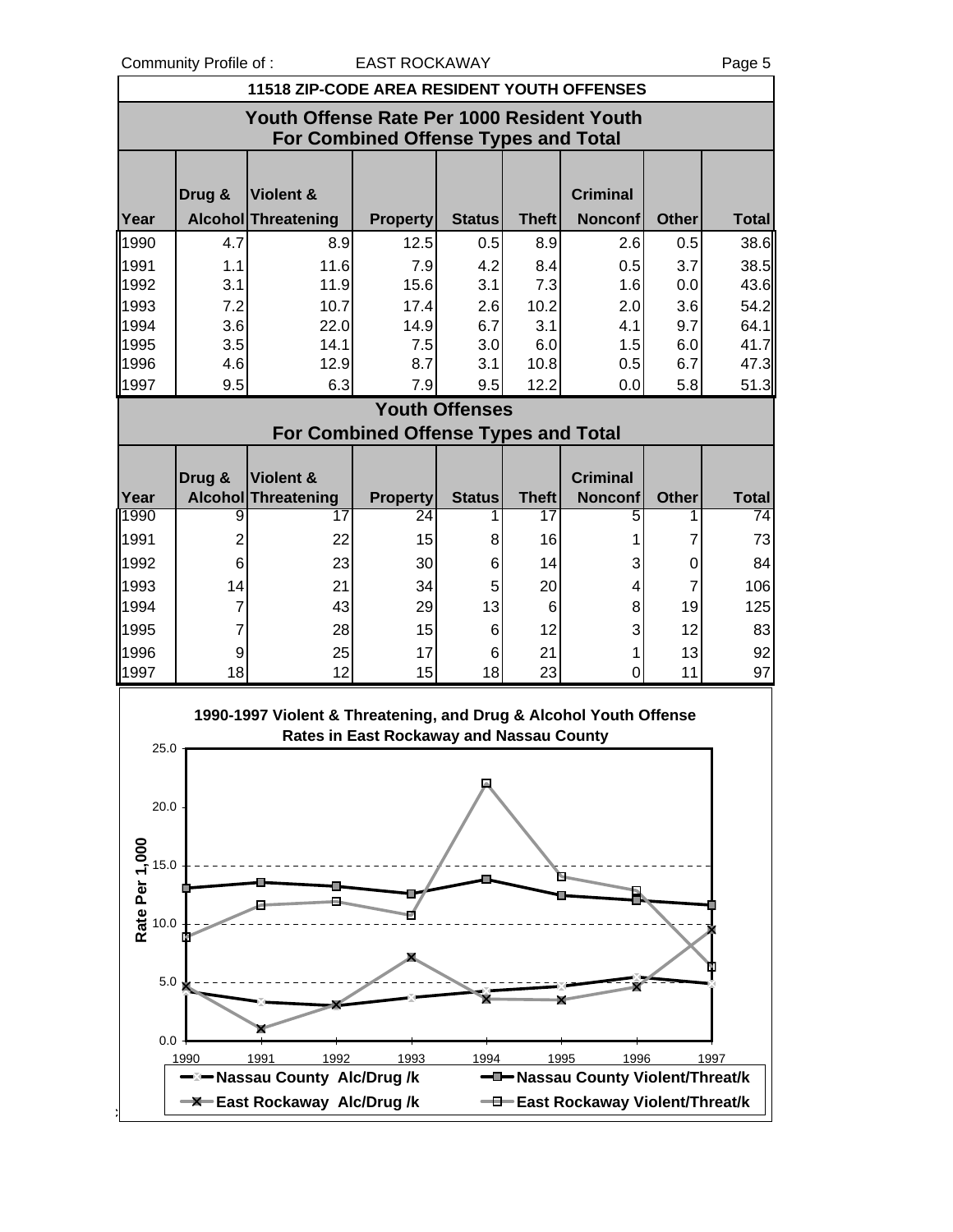Community Profile of : EAST ROCKAWAY COMMUNITY Page 5

|                                                                                           | 11518 ZIP-CODE AREA RESIDENT YOUTH OFFENSES |                                                                   |                                             |                       |              |                                                   |              |              |  |
|-------------------------------------------------------------------------------------------|---------------------------------------------|-------------------------------------------------------------------|---------------------------------------------|-----------------------|--------------|---------------------------------------------------|--------------|--------------|--|
| Youth Offense Rate Per 1000 Resident Youth<br><b>For Combined Offense Types and Total</b> |                                             |                                                                   |                                             |                       |              |                                                   |              |              |  |
|                                                                                           | Drug &                                      | <b>Violent &amp;</b>                                              |                                             |                       |              | <b>Criminal</b>                                   |              |              |  |
| Year                                                                                      |                                             | Alcohol Threatening                                               | <b>Property</b>                             | <b>Status</b>         | <b>Theft</b> | <b>Nonconf</b>                                    | <b>Other</b> | <b>Total</b> |  |
| 1990                                                                                      | 4.7                                         | 8.9                                                               | 12.5                                        | 0.5                   | 8.9          | 2.6                                               | 0.5          | 38.6         |  |
| 1991                                                                                      | 1.1                                         | 11.6                                                              | 7.9                                         | 4.2                   | 8.4          | 0.5                                               | 3.7          | 38.5         |  |
| 1992                                                                                      | 3.1                                         | 11.9                                                              | 15.6                                        | 3.1                   | 7.3          | 1.6                                               | 0.0          | 43.6         |  |
| 1993                                                                                      | 7.2                                         | 10.7                                                              | 17.4                                        | 2.6                   | 10.2         | 2.0                                               | 3.6          | 54.2         |  |
| 1994                                                                                      | 3.6                                         | 22.0                                                              | 14.9                                        | 6.7                   | 3.1          | 4.1                                               | 9.7          | 64.1         |  |
| 1995                                                                                      | 3.5                                         | 14.1                                                              | 7.5                                         | 3.0                   | 6.0          | 1.5                                               | 6.0          | 41.7         |  |
| 1996                                                                                      | 4.6                                         | 12.9                                                              | 8.7                                         | 3.1                   | 10.8         | 0.5                                               | 6.7          | 47.3         |  |
| 1997                                                                                      | 9.5                                         | 6.3                                                               | 7.9                                         | 9.5                   | 12.2         | 0.0                                               | 5.8          | 51.3         |  |
|                                                                                           |                                             |                                                                   | <b>For Combined Offense Types and Total</b> | <b>Youth Offenses</b> |              |                                                   |              |              |  |
|                                                                                           |                                             |                                                                   |                                             |                       |              |                                                   |              |              |  |
|                                                                                           | Drug &                                      | <b>Violent &amp;</b>                                              |                                             |                       |              | <b>Criminal</b>                                   |              |              |  |
| Year                                                                                      |                                             | <b>Alcohol Threatening</b>                                        | <b>Property</b>                             | <b>Status</b>         | <b>Theft</b> | <b>Nonconf</b>                                    | <b>Other</b> | <b>Total</b> |  |
| 1990                                                                                      | 9                                           | 17                                                                | 24                                          |                       | 17           | 5                                                 |              | 74           |  |
| 1991                                                                                      | $\overline{2}$                              | 22                                                                | 15                                          | 8                     | 16           | 1                                                 | 7            | 73           |  |
| 1992                                                                                      | 6                                           | 23                                                                | 30                                          | 6                     | 14           | 3                                                 | 0            | 84           |  |
| 1993                                                                                      | 14                                          | 21                                                                | 34                                          | 5                     | 20           | 4                                                 | 7            | 106          |  |
| 1994                                                                                      | $\overline{7}$                              | 43                                                                | 29                                          | 13                    | 6            | 8                                                 | 19           | 125          |  |
| 1995                                                                                      | $\overline{7}$                              | 28                                                                | 15                                          | 6                     | 12           | 3                                                 | 12           | 83           |  |
| 1996                                                                                      | 9                                           | 25                                                                | 17                                          | 6                     | 21           | 1                                                 | 13           | 92           |  |
| 1997                                                                                      | 18                                          | 12                                                                | 15                                          | 18                    | 23           | 0                                                 | 11           | 97           |  |
| 25.0                                                                                      |                                             | 1990-1997 Violent & Threatening, and Drug & Alcohol Youth Offense | Rates in East Rockaway and Nassau County    |                       |              |                                                   |              |              |  |
| 20.0                                                                                      |                                             |                                                                   |                                             |                       |              |                                                   |              |              |  |
| Rate Per 1,000<br>5.0                                                                     |                                             |                                                                   |                                             |                       |              |                                                   |              |              |  |
| 10.0                                                                                      |                                             |                                                                   |                                             |                       |              |                                                   |              |              |  |
| 5.0                                                                                       |                                             |                                                                   |                                             |                       |              |                                                   |              |              |  |
| 0.0                                                                                       |                                             |                                                                   |                                             |                       |              |                                                   |              |              |  |
|                                                                                           | 1990                                        | 1991<br>1992<br>-⊠ Nassau County Alc/Drug /k                      | 1993                                        | 1994                  |              | 1996<br>1995<br>-D-Nassau County Violent/Threat/k |              | 1997         |  |
|                                                                                           |                                             | <b>-X</b> East Rockaway Alc/Drug/k                                |                                             |                       |              | -D-East Rockaway Violent/Threat/k                 |              |              |  |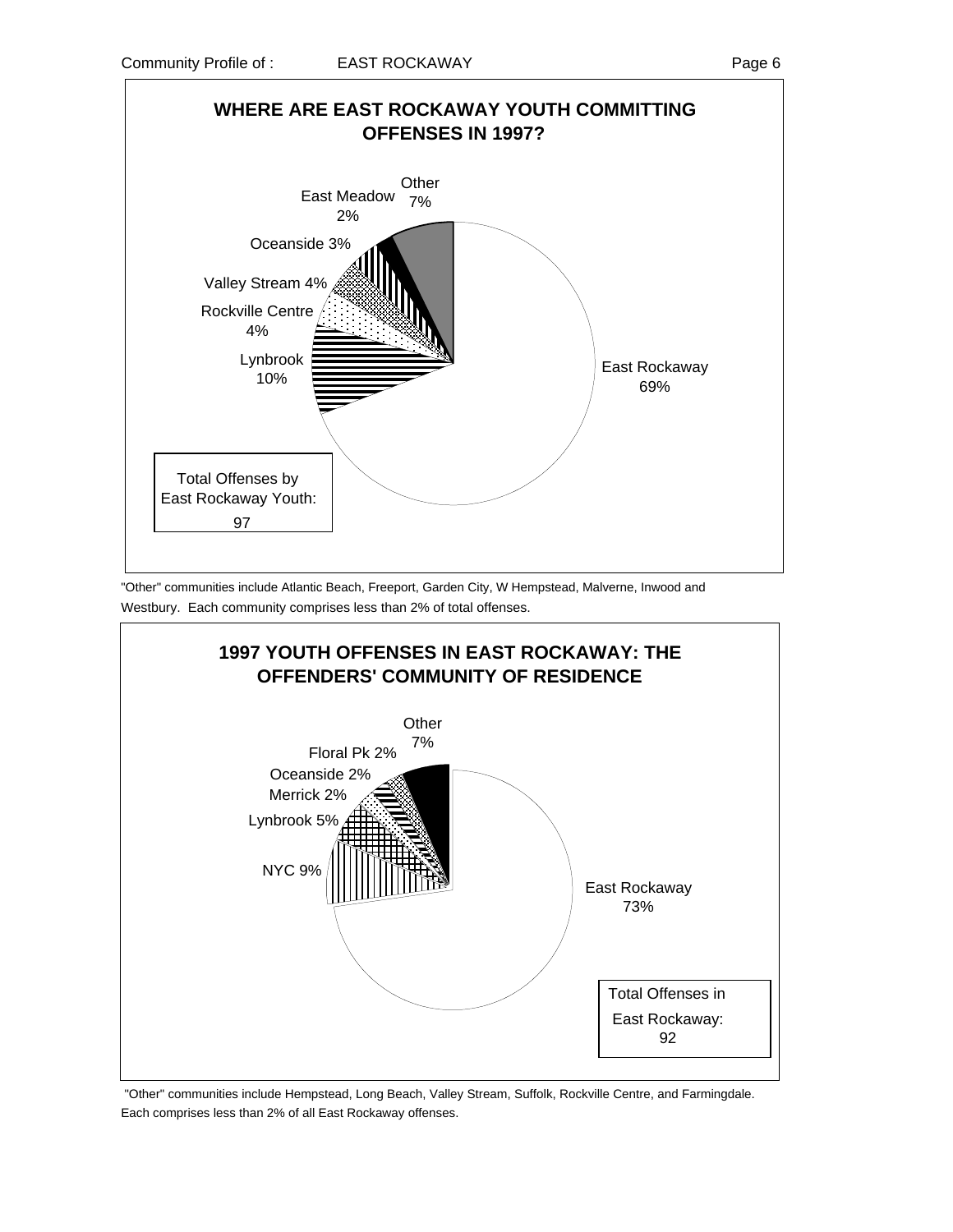

"Other" communities include Atlantic Beach, Freeport, Garden City, W Hempstead, Malverne, Inwood and Westbury. Each community comprises less than 2% of total offenses.



 "Other" communities include Hempstead, Long Beach, Valley Stream, Suffolk, Rockville Centre, and Farmingdale. Each comprises less than 2% of all East Rockaway offenses.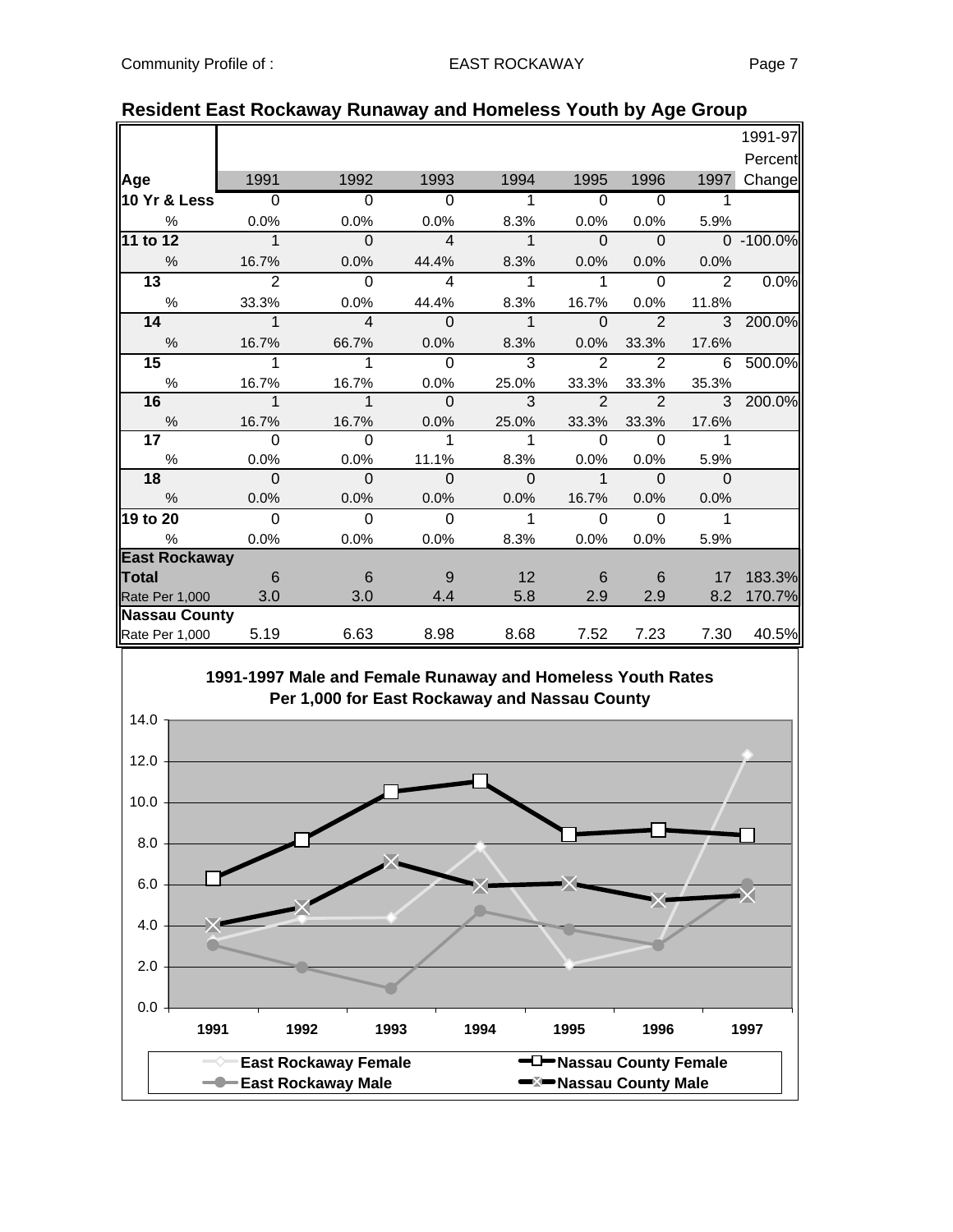|                      |                |                |                |               |                |                |                | 1991-97   |
|----------------------|----------------|----------------|----------------|---------------|----------------|----------------|----------------|-----------|
|                      |                |                |                |               |                |                |                | Percent   |
| Age                  | 1991           | 1992           | 1993           | 1994          | 1995           | 1996           | 1997           | Change    |
| 10 Yr & Less         | $\overline{0}$ | $\overline{0}$ | $\overline{0}$ |               | $\Omega$       | $\overline{0}$ |                |           |
| $\frac{0}{0}$        | 0.0%           | 0.0%           | 0.0%           | 8.3%          | 0.0%           | 0.0%           | 5.9%           |           |
| 11 to 12             | $\overline{1}$ | $\Omega$       | $\overline{4}$ | $\mathbf{1}$  | $\Omega$       | $\Omega$       |                | 0 -100.0% |
| $\frac{0}{0}$        | 16.7%          | 0.0%           | 44.4%          | 8.3%          | 0.0%           | 0.0%           | 0.0%           |           |
| $\overline{13}$      | $\overline{2}$ | $\Omega$       | $\overline{4}$ | 1             | 1              | $\Omega$       | $\overline{2}$ | 0.0%      |
| $\%$                 | 33.3%          | 0.0%           | 44.4%          | 8.3%          | 16.7%          | 0.0%           | 11.8%          |           |
| 14                   | $\mathbf{1}$   | $\overline{4}$ | $\Omega$       | $\mathbf{1}$  | $\Omega$       | $\overline{2}$ |                | 3 200.0%  |
| $\%$                 | 16.7%          | 66.7%          | 0.0%           | 8.3%          | 0.0%           | 33.3%          | 17.6%          |           |
| 15                   | 1              | 1              | $\Omega$       | 3             | $\overline{2}$ | 2              | 6              | 500.0%    |
| %                    | 16.7%          | 16.7%          | 0.0%           | 25.0%         | 33.3%          | 33.3%          | 35.3%          |           |
| 16                   | $\mathbf 1$    | $\mathbf 1$    | $\Omega$       | $\mathcal{R}$ | $\overline{2}$ | $\overline{2}$ | 3              | 200.0%    |
| $\%$                 | 16.7%          | 16.7%          | 0.0%           | 25.0%         | 33.3%          | 33.3%          | 17.6%          |           |
| 17 <sub>1</sub>      | $\Omega$       | $\Omega$       | 1              | $\mathbf 1$   | $\Omega$       | $\Omega$       | 1              |           |
| $\%$                 | 0.0%           | 0.0%           | 11.1%          | 8.3%          | 0.0%           | 0.0%           | 5.9%           |           |
| 18                   | $\Omega$       | $\Omega$       | $\Omega$       | $\Omega$      | $\mathbf 1$    | $\Omega$       | $\Omega$       |           |
| $\frac{0}{6}$        | 0.0%           | 0.0%           | 0.0%           | 0.0%          | 16.7%          | 0.0%           | 0.0%           |           |
| 19 to 20             | $\overline{0}$ | $\Omega$       | $\Omega$       | 1             | $\Omega$       | $\Omega$       | 1              |           |
| %                    | 0.0%           | 0.0%           | 0.0%           | 8.3%          | 0.0%           | 0.0%           | 5.9%           |           |
| <b>East Rockaway</b> |                |                |                |               |                |                |                |           |
| <b>Total</b>         | - 6            | 6              | 9              | 12            | 6              | 6              | 17             | 183.3%    |
| Rate Per 1,000       | 3.0            | 3.0            | 4.4            | 5.8           | 2.9            | 2.9            | 8.2            | 170.7%    |
| <b>Nassau County</b> |                |                |                |               |                |                |                |           |
| Rate Per 1,000       | 5.19           | 6.63           | 8.98           | 8.68          | 7.52           | 7.23           | 7.30           | 40.5%     |

#### **Resident East Rockaway Runaway and Homeless Youth by Age Group**

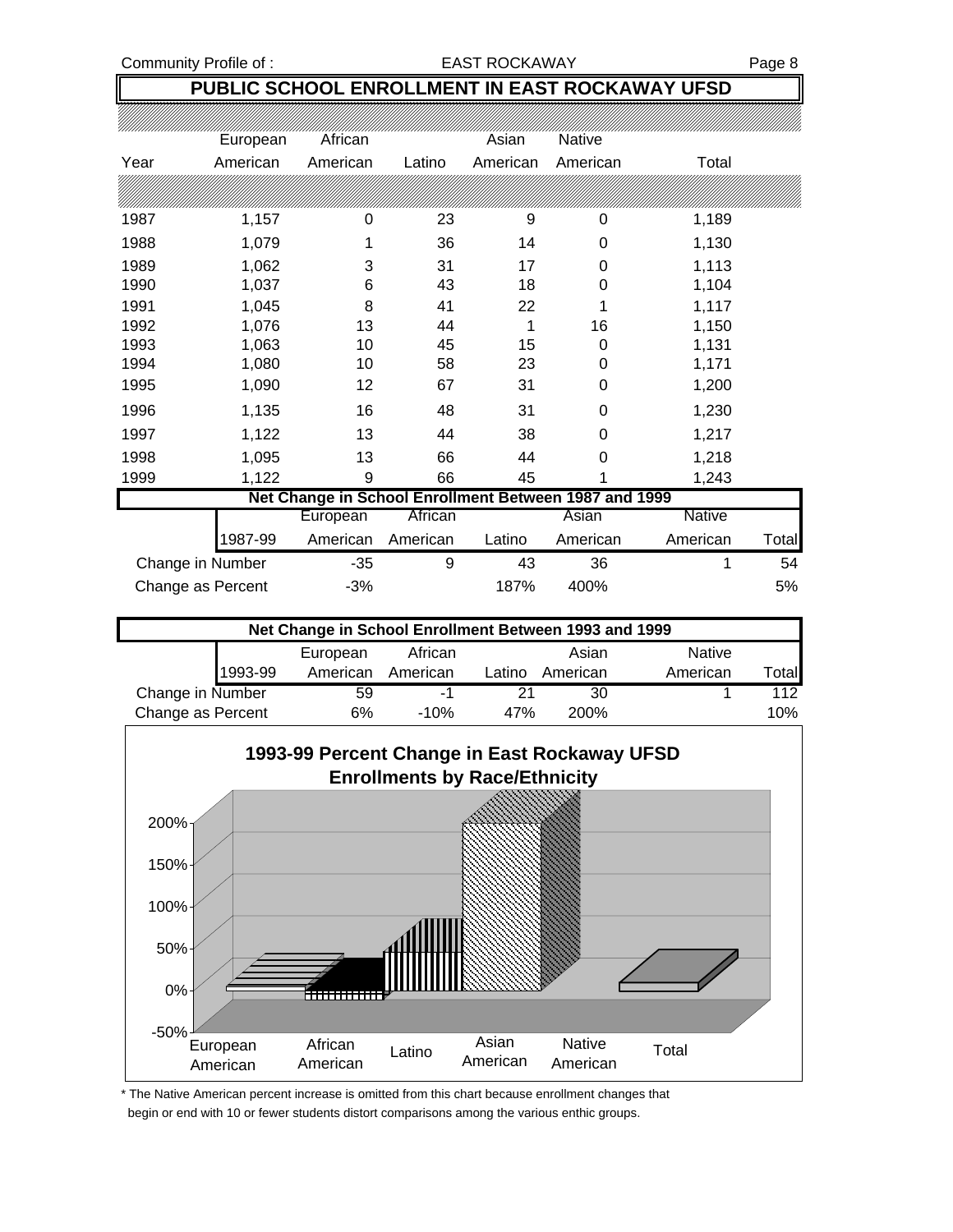#### Community Profile of : The South of the EAST ROCKAWAY Fage 8

#### **PUBLIC SCHOOL ENROLLMENT IN EAST ROCKAWAY UFSD**

|      | European          | African                                               |          | Asian    | Native   |          |       |
|------|-------------------|-------------------------------------------------------|----------|----------|----------|----------|-------|
| Year | American          | American                                              | Latino   | American | American | Total    |       |
|      |                   |                                                       |          |          |          |          |       |
| 1987 | 1,157             | 0                                                     | 23       | 9        | 0        | 1,189    |       |
| 1988 | 1,079             |                                                       | 36       | 14       | 0        | 1,130    |       |
| 1989 | 1,062             | 3                                                     | 31       | 17       | 0        | 1,113    |       |
| 1990 | 1,037             | 6                                                     | 43       | 18       | 0        | 1,104    |       |
| 1991 | 1,045             | 8                                                     | 41       | 22       | 1        | 1,117    |       |
| 1992 | 1,076             | 13                                                    | 44       | 1        | 16       | 1,150    |       |
| 1993 | 1,063             | 10                                                    | 45       | 15       | 0        | 1,131    |       |
| 1994 | 1,080             | 10                                                    | 58       | 23       | 0        | 1,171    |       |
| 1995 | 1,090             | 12                                                    | 67       | 31       | 0        | 1,200    |       |
| 1996 | 1,135             | 16                                                    | 48       | 31       | 0        | 1,230    |       |
| 1997 | 1,122             | 13                                                    | 44       | 38       | 0        | 1,217    |       |
| 1998 | 1,095             | 13                                                    | 66       | 44       | 0        | 1,218    |       |
| 1999 | 1,122             | 9                                                     | 66       | 45       |          | 1,243    |       |
|      |                   | Net Change in School Enrollment Between 1987 and 1999 |          |          |          |          |       |
|      |                   | European                                              | African  |          | Asian    | Native   |       |
|      | 1987-99           | American                                              | American | Latino   | American | American | Total |
|      | Change in Number  | $-35$                                                 | 9        | 43       | 36       | 1        | 54    |
|      | Change as Percent | -3%                                                   |          | 187%     | 400%     |          | 5%    |

| Net Change in School Enrollment Between 1993 and 1999 |         |          |          |        |          |               |        |
|-------------------------------------------------------|---------|----------|----------|--------|----------|---------------|--------|
|                                                       |         | European | African  |        | Asian    | <b>Native</b> |        |
|                                                       | 1993-99 | American | American | Latino | American | American      | ⊺otall |
| Change in Number                                      |         | 59       | - 1      | 21     | 30       |               | 112    |
| Change as Percent                                     |         | 6%       | $-10%$   | 47%    | 200%     |               | 10%    |



\* The Native American percent increase is omitted from this chart because enrollment changes that begin or end with 10 or fewer students distort comparisons among the various enthic groups.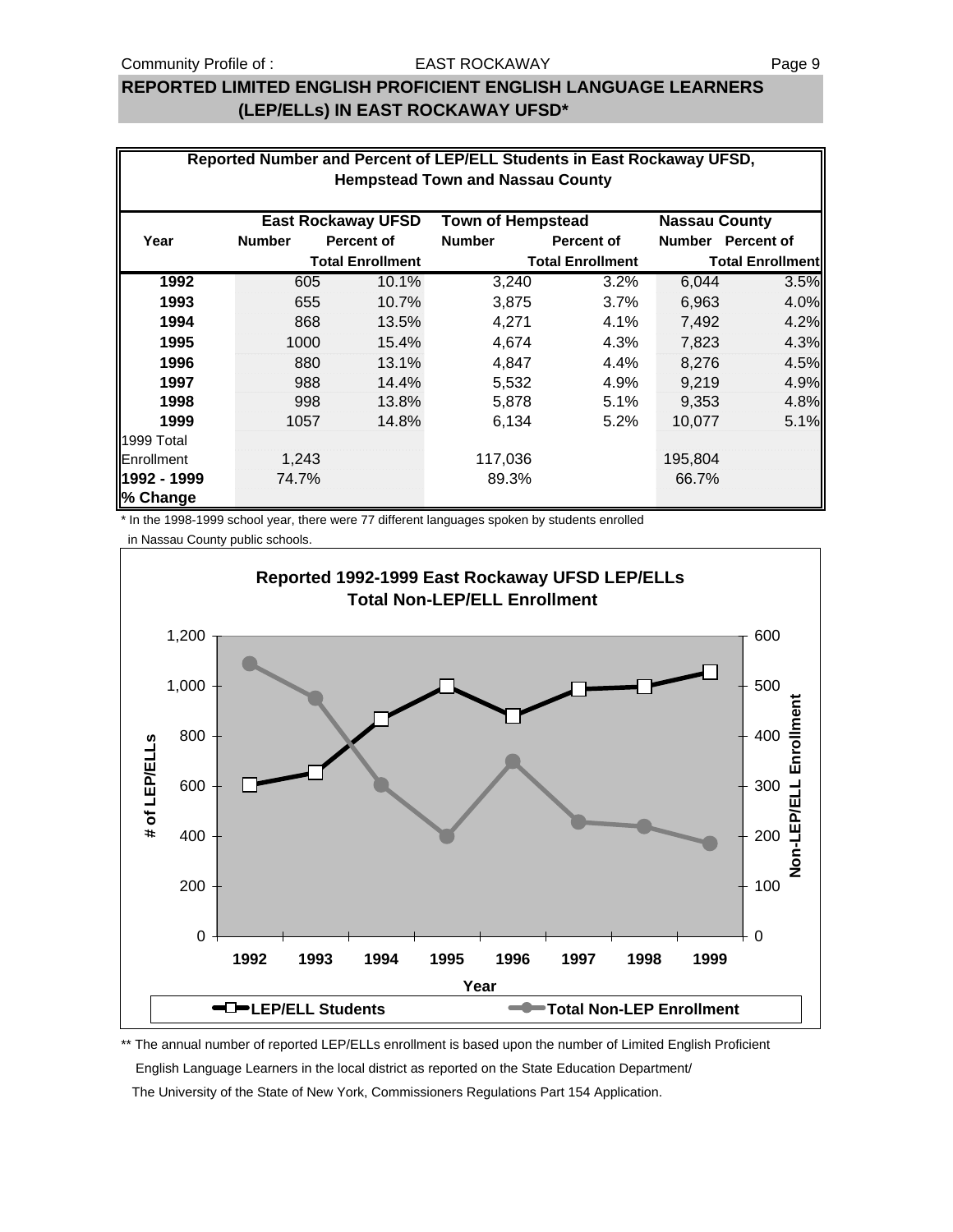### **REPORTED LIMITED ENGLISH PROFICIENT ENGLISH LANGUAGE LEARNERS (LEP/ELLs) IN EAST ROCKAWAY UFSD\***

|                                                                               | Reported Number and Percent of LEP/ELL Students in East Rockaway UFSD,<br><b>Hempstead Town and Nassau County</b> |                         |               |                         |         |                         |  |  |  |
|-------------------------------------------------------------------------------|-------------------------------------------------------------------------------------------------------------------|-------------------------|---------------|-------------------------|---------|-------------------------|--|--|--|
|                                                                               |                                                                                                                   |                         |               |                         |         |                         |  |  |  |
| <b>Town of Hempstead</b><br><b>East Rockaway UFSD</b><br><b>Nassau County</b> |                                                                                                                   |                         |               |                         |         |                         |  |  |  |
| Year                                                                          | <b>Number</b>                                                                                                     | <b>Percent of</b>       | <b>Number</b> | <b>Percent of</b>       |         | Number Percent of       |  |  |  |
|                                                                               |                                                                                                                   | <b>Total Enrollment</b> |               | <b>Total Enrollment</b> |         | <b>Total Enrollment</b> |  |  |  |
| 1992                                                                          | 605                                                                                                               | 10.1%                   | 3,240         | 3.2%                    | 6,044   | 3.5%                    |  |  |  |
| 1993                                                                          | 655                                                                                                               | 10.7%                   | 3,875         | 3.7%                    | 6,963   | 4.0%                    |  |  |  |
| 1994                                                                          | 868                                                                                                               | 13.5%                   | 4,271         | 4.1%                    | 7,492   | 4.2%                    |  |  |  |
| 1995                                                                          | 1000                                                                                                              | 15.4%                   | 4,674         | 4.3%                    | 7,823   | 4.3%                    |  |  |  |
| 1996                                                                          | 880                                                                                                               | 13.1%                   | 4,847         | $4.4\%$                 | 8,276   | 4.5%                    |  |  |  |
| 1997                                                                          | 988                                                                                                               | 14.4%                   | 5,532         | 4.9%                    | 9,219   | 4.9%                    |  |  |  |
| 1998                                                                          | 998                                                                                                               | 13.8%                   | 5,878         | 5.1%                    | 9,353   | 4.8%                    |  |  |  |
| 1999                                                                          | 1057                                                                                                              | 14.8%                   | 6,134         | 5.2%                    | 10,077  | 5.1%                    |  |  |  |
| 1999 Total                                                                    |                                                                                                                   |                         |               |                         |         |                         |  |  |  |
| Enrollment                                                                    | 1,243                                                                                                             |                         | 117,036       |                         | 195,804 |                         |  |  |  |
| l1992 - 1999<br>% Change                                                      | 74.7%                                                                                                             |                         | 89.3%         |                         | 66.7%   |                         |  |  |  |

\* In the 1998-1999 school year, there were 77 different languages spoken by students enrolled

in Nassau County public schools.



\*\* The annual number of reported LEP/ELLs enrollment is based upon the number of Limited English Proficient English Language Learners in the local district as reported on the State Education Department/ The University of the State of New York, Commissioners Regulations Part 154 Application.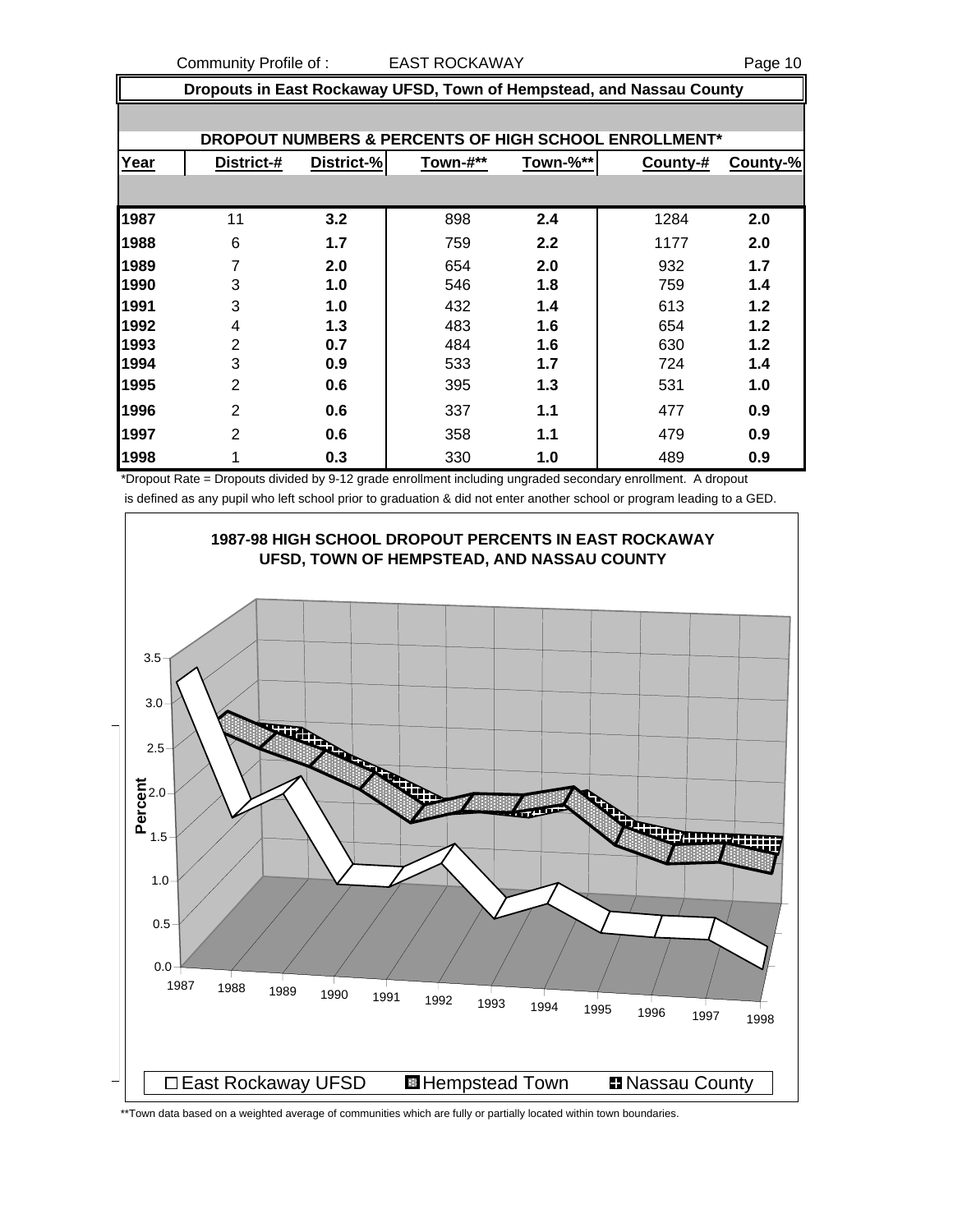Community Profile of : EAST ROCKAWAY COMMUNITY Page 10

|      | Dropouts in East Rockaway UFSD, Town of Hempstead, and Nassau County |            |          |          |                                                       |          |  |  |
|------|----------------------------------------------------------------------|------------|----------|----------|-------------------------------------------------------|----------|--|--|
|      |                                                                      |            |          |          |                                                       |          |  |  |
|      |                                                                      |            |          |          | DROPOUT NUMBERS & PERCENTS OF HIGH SCHOOL ENROLLMENT* |          |  |  |
| Year | District-#                                                           | District-% | Town-#** | Town-%** | County-#                                              | County-% |  |  |
|      |                                                                      |            |          |          |                                                       |          |  |  |
| 1987 | 11                                                                   | 3.2        | 898      | 2.4      | 1284                                                  | 2.0      |  |  |
| 1988 | 6                                                                    | 1.7        | 759      | 2.2      | 1177                                                  | 2.0      |  |  |
| 1989 | 7                                                                    | 2.0        | 654      | 2.0      | 932                                                   | 1.7      |  |  |
| 1990 | 3                                                                    | 1.0        | 546      | 1.8      | 759                                                   | 1.4      |  |  |
| 1991 | 3                                                                    | 1.0        | 432      | 1.4      | 613                                                   | 1.2      |  |  |
| 1992 | 4                                                                    | 1.3        | 483      | 1.6      | 654                                                   | 1.2      |  |  |
| 1993 | $\overline{2}$                                                       | 0.7        | 484      | 1.6      | 630                                                   | 1.2      |  |  |
| 1994 | 3                                                                    | 0.9        | 533      | 1.7      | 724                                                   | 1.4      |  |  |
| 1995 | $\overline{2}$                                                       | 0.6        | 395      | 1.3      | 531                                                   | 1.0      |  |  |
| 1996 | $\overline{2}$                                                       | 0.6        | 337      | 1.1      | 477                                                   | 0.9      |  |  |
| 1997 | 2                                                                    | 0.6        | 358      | 1.1      | 479                                                   | 0.9      |  |  |
| 1998 | 1                                                                    | 0.3        | 330      | 1.0      | 489                                                   | 0.9      |  |  |

\*Dropout Rate = Dropouts divided by 9-12 grade enrollment including ungraded secondary enrollment. A dropout is defined as any pupil who left school prior to graduation & did not enter another school or program leading to a GED.



\*\*Town data based on a weighted average of communities which are fully or partially located within town boundaries.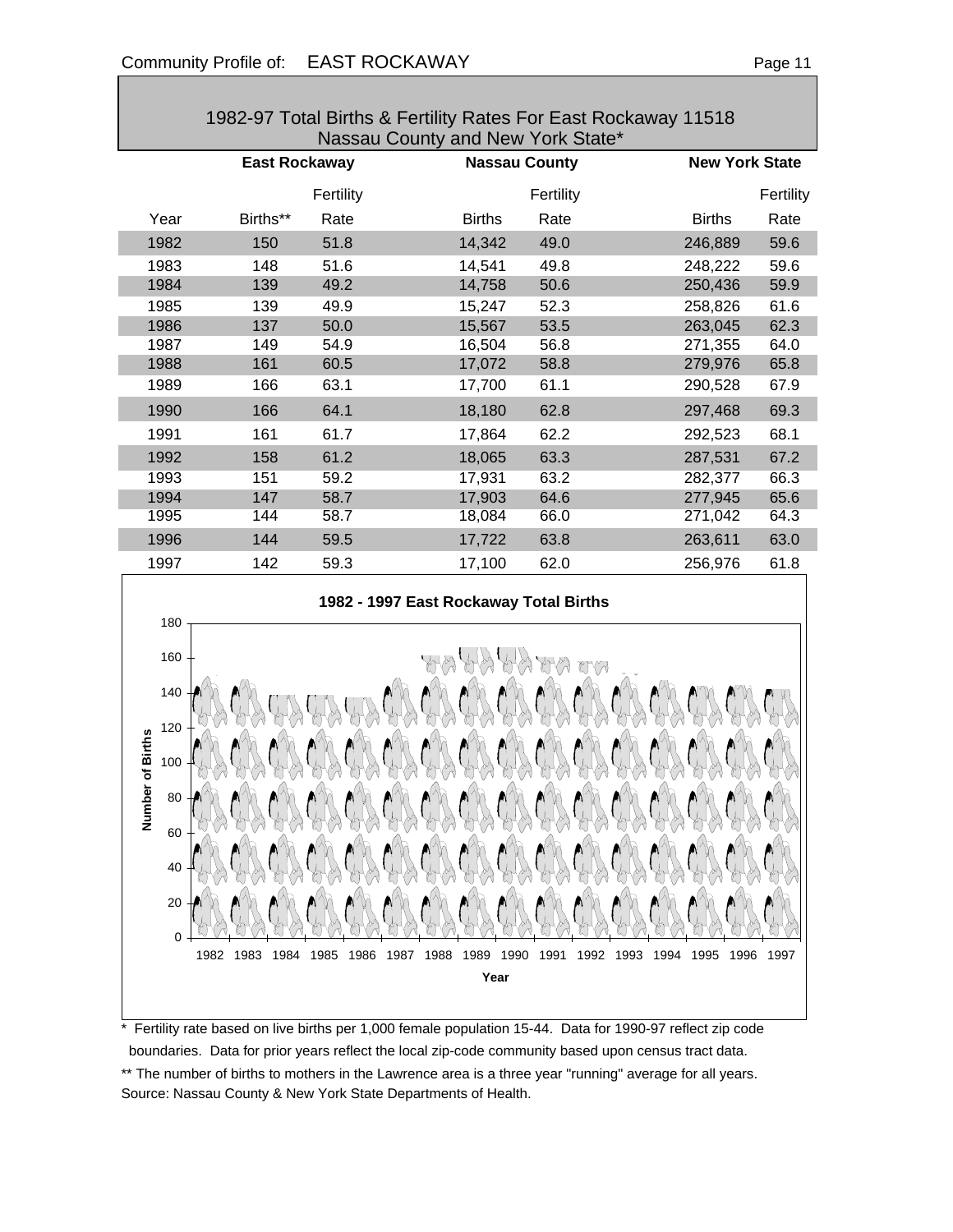|                                                                                     | 1982-97 Total Births & Fertility Rates For East Rockaway 11518<br>Nassau County and New York State* |              |                                                                |                      |                    |              |                       |              |
|-------------------------------------------------------------------------------------|-----------------------------------------------------------------------------------------------------|--------------|----------------------------------------------------------------|----------------------|--------------------|--------------|-----------------------|--------------|
|                                                                                     | <b>East Rockaway</b>                                                                                |              |                                                                | <b>Nassau County</b> |                    |              | <b>New York State</b> |              |
|                                                                                     |                                                                                                     | Fertility    |                                                                |                      | Fertility          |              |                       | Fertility    |
| Year                                                                                | Births**                                                                                            | Rate         |                                                                | <b>Births</b>        | Rate               |              | <b>Births</b>         | Rate         |
| 1982                                                                                | 150                                                                                                 | 51.8         |                                                                | 14,342               | 49.0               |              | 246,889               | 59.6         |
| 1983                                                                                | 148                                                                                                 | 51.6         |                                                                | 14,541               | 49.8               |              | 248,222               | 59.6         |
| 1984                                                                                | 139                                                                                                 | 49.2         |                                                                | 14,758               | 50.6               |              | 250,436               | 59.9         |
| 1985                                                                                | 139                                                                                                 | 49.9         |                                                                | 15,247               | 52.3               |              | 258,826               | 61.6         |
| 1986                                                                                | 137                                                                                                 | 50.0         |                                                                | 15,567               | 53.5               |              | 263,045               | 62.3         |
| 1987<br>1988                                                                        | 149<br>161                                                                                          | 54.9<br>60.5 |                                                                | 16,504<br>17,072     | 56.8<br>58.8       |              | 271,355<br>279,976    | 64.0<br>65.8 |
| 1989                                                                                | 166                                                                                                 | 63.1         |                                                                | 17,700               | 61.1               |              | 290,528               | 67.9         |
| 1990                                                                                | 166                                                                                                 | 64.1         |                                                                | 18,180               | 62.8               |              | 297,468               | 69.3         |
| 1991                                                                                | 161                                                                                                 | 61.7         |                                                                | 17,864               | 62.2               |              | 292,523               | 68.1         |
| 1992                                                                                | 158                                                                                                 | 61.2         |                                                                | 18,065               | 63.3               |              | 287,531               | 67.2         |
| 1993                                                                                | 151                                                                                                 | 59.2         |                                                                | 17,931               | 63.2               |              | 282,377               | 66.3         |
| 1994                                                                                | 147                                                                                                 | 58.7         |                                                                | 17,903               | 64.6               |              | 277,945               | 65.6         |
| 1995                                                                                | 144                                                                                                 | 58.7         |                                                                | 18,084               | 66.0               |              | 271,042               | 64.3         |
| 1996                                                                                | 144                                                                                                 | 59.5         |                                                                | 17,722               | 63.8               |              | 263,611               | 63.0         |
| 1997                                                                                | 142                                                                                                 | 59.3         |                                                                | 17,100               | 62.0               |              | 256,976               | 61.8         |
| 180<br>160<br>140<br>120<br>nber of Births<br>100<br>80<br>ž<br>60<br>40<br>20<br>0 | 1982<br>1983<br>1984                                                                                | 1985<br>1986 | 1982 - 1997 East Rockaway Total Births<br>1987<br>1988<br>1989 | 1990<br>Year         | ty<br>1991<br>1992 | 1993<br>1994 | 1995<br>1996          | 1997         |

\* Fertility rate based on live births per 1,000 female population 15-44. Data for 1990-97 reflect zip code boundaries. Data for prior years reflect the local zip-code community based upon census tract data. \*\* The number of births to mothers in the Lawrence area is a three year "running" average for all years. Source: Nassau County & New York State Departments of Health.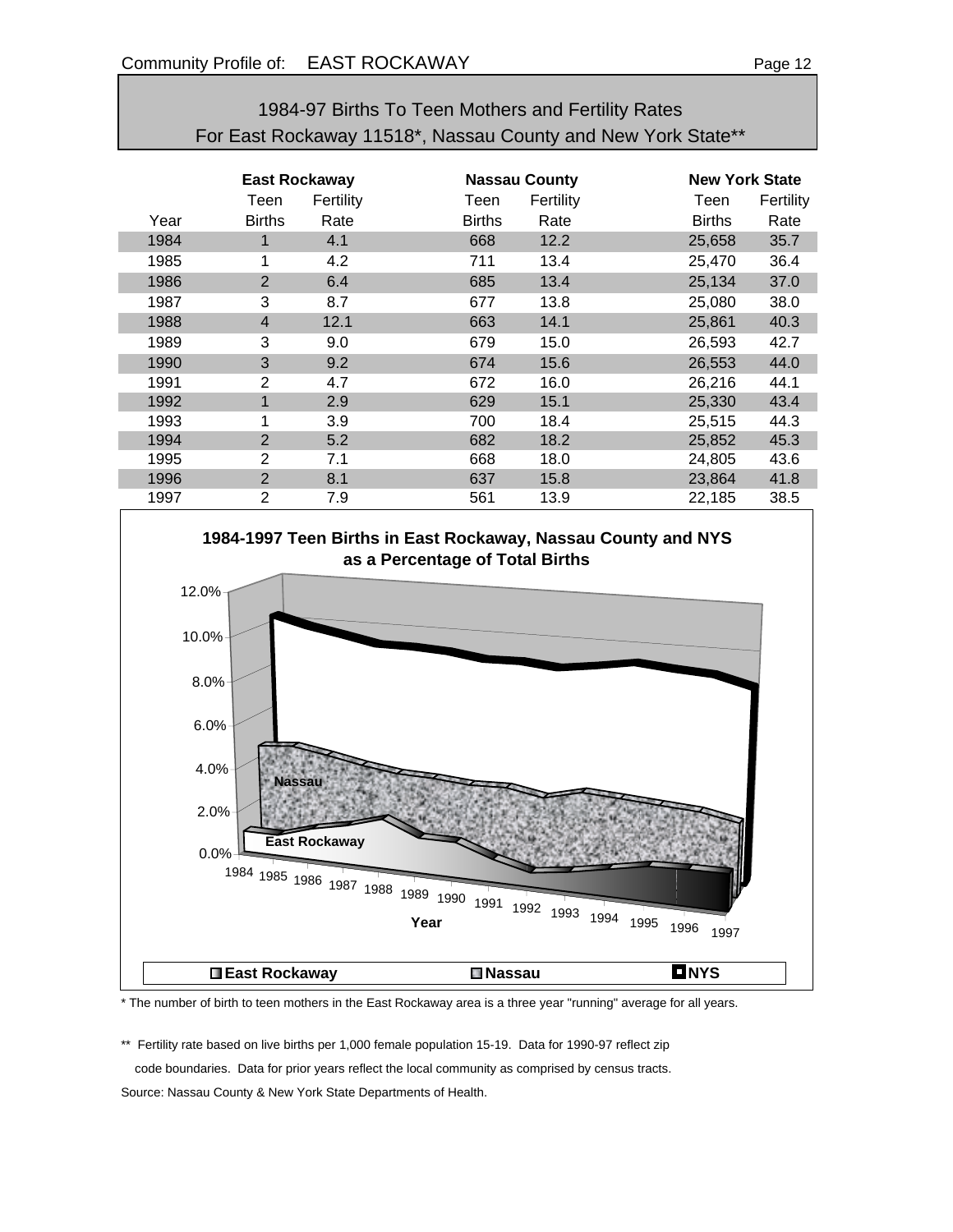## 1984-97 Births To Teen Mothers and Fertility Rates For East Rockaway 11518\*, Nassau County and New York State\*\*

|      | East Rockaway  |           |               | <b>Nassau County</b> |               | <b>New York State</b> |  |  |
|------|----------------|-----------|---------------|----------------------|---------------|-----------------------|--|--|
|      | Teen           | Fertility | Teen          | Fertility            | Teen          | Fertility             |  |  |
| Year | <b>Births</b>  | Rate      | <b>Births</b> | Rate                 | <b>Births</b> | Rate                  |  |  |
| 1984 | 1              | 4.1       | 668           | 12.2                 | 25,658        | 35.7                  |  |  |
| 1985 | 1              | 4.2       | 711           | 13.4                 | 25,470        | 36.4                  |  |  |
| 1986 | $\overline{2}$ | 6.4       | 685           | 13.4                 | 25,134        | 37.0                  |  |  |
| 1987 | 3              | 8.7       | 677           | 13.8                 | 25,080        | 38.0                  |  |  |
| 1988 | $\overline{4}$ | 12.1      | 663           | 14.1                 | 25,861        | 40.3                  |  |  |
| 1989 | 3              | 9.0       | 679           | 15.0                 | 26,593        | 42.7                  |  |  |
| 1990 | 3              | 9.2       | 674           | 15.6                 | 26,553        | 44.0                  |  |  |
| 1991 | 2              | 4.7       | 672           | 16.0                 | 26,216        | 44.1                  |  |  |
| 1992 | 1              | 2.9       | 629           | 15.1                 | 25,330        | 43.4                  |  |  |
| 1993 | 1              | 3.9       | 700           | 18.4                 | 25,515        | 44.3                  |  |  |
| 1994 | $\overline{2}$ | 5.2       | 682           | 18.2                 | 25,852        | 45.3                  |  |  |
| 1995 | 2              | 7.1       | 668           | 18.0                 | 24,805        | 43.6                  |  |  |
| 1996 | $\overline{2}$ | 8.1       | 637           | 15.8                 | 23,864        | 41.8                  |  |  |
| 1997 | 2              | 7.9       | 561           | 13.9                 | 22,185        | 38.5                  |  |  |





\* The number of birth to teen mothers in the East Rockaway area is a three year "running" average for all years.

\*\* Fertility rate based on live births per 1,000 female population 15-19. Data for 1990-97 reflect zip code boundaries. Data for prior years reflect the local community as comprised by census tracts. Source: Nassau County & New York State Departments of Health.